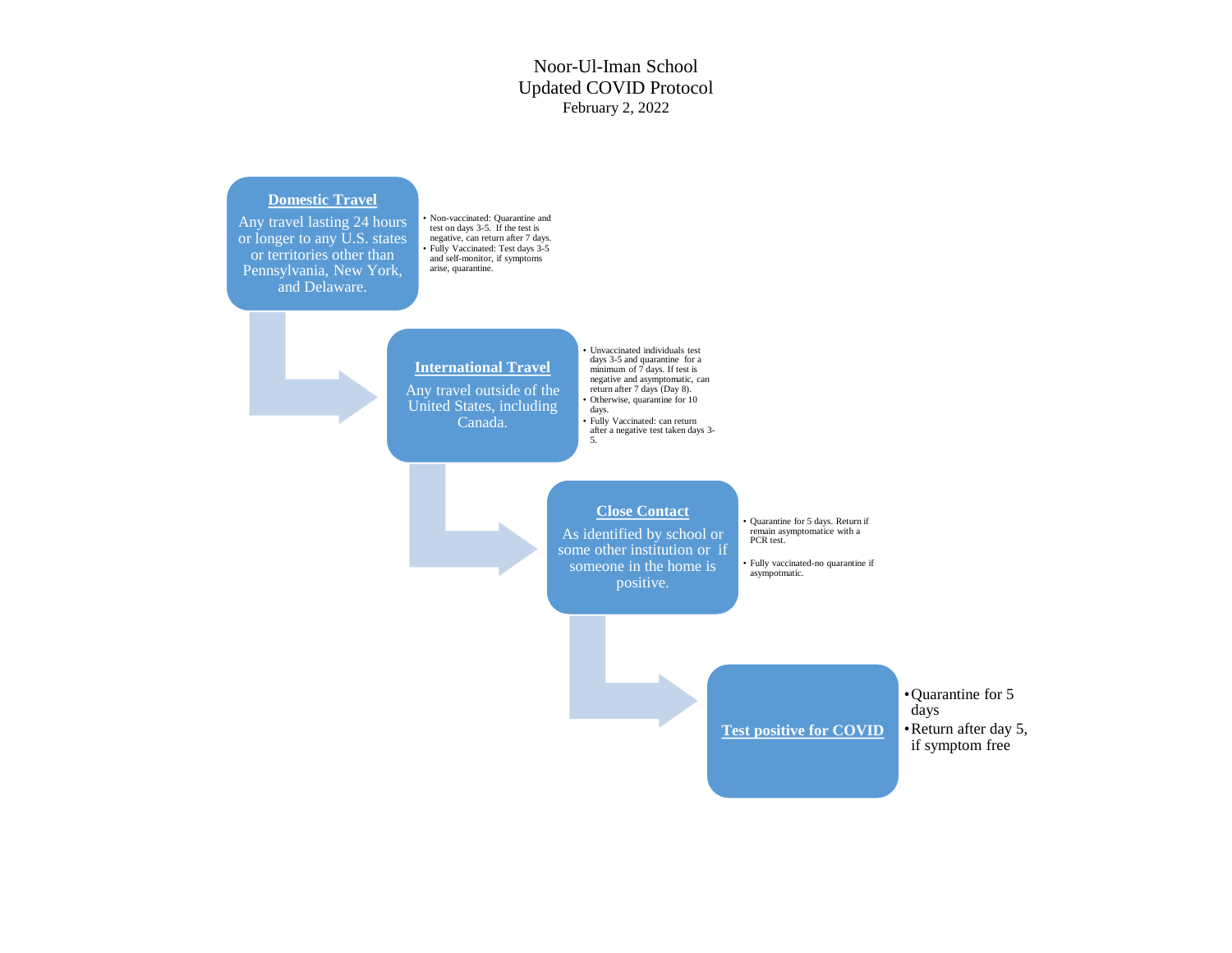## Noor-Ul-Iman School Updated COVID Protocol February 2, 2022

### **Domestic Travel**

Any travel lasting 24 hours or longer to any U.S. states or territories other than Pennsylvania, New York, and Delaware.

• Non-vaccinated: Quarantine and test on days 3-5. If the test is negative, can return after 7 days. • Fully Vaccinated: Test days 3-5 and self-monitor, if symptoms arise, quarantine.

#### **International Travel**

Any travel outside of the United States, including Canada.

• Unvaccinated individuals test days 3-5 and quarantine for a minimum of 7 days. If test is negative and asymptomatic, can return after 7 days (Day 8). • Otherwise, quarantine for 10 days.

• Fully Vaccinated: can return after a negative test taken days 3- 5.

#### **Close Contact**

As identified by school or some other institution or if someone in the home is positive.

• Quarantine for 5 days. Return if remain asymptomatice with a PCR test.

• Fully vaccinated-no quarantine if asympotmatic.

> •Quarantine for 5 days

**Test positive for COVID**

•Return after day 5, if symptom free